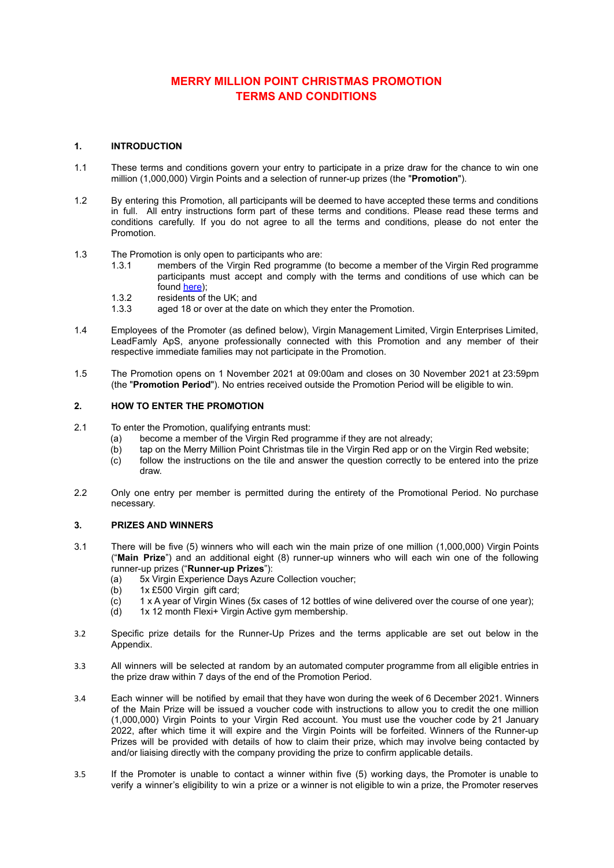# **MERRY MILLION POINT CHRISTMAS PROMOTION TERMS AND CONDITIONS**

## **1. INTRODUCTION**

- 1.1 These terms and conditions govern your entry to participate in a prize draw for the chance to win one million (1,000,000) Virgin Points and a selection of runner-up prizes (the "**Promotion**").
- 1.2 By entering this Promotion, all participants will be deemed to have accepted these terms and conditions in full. All entry instructions form part of these terms and conditions. Please read these terms and conditions carefully. If you do not agree to all the terms and conditions, please do not enter the Promotion.
- 1.3 The Promotion is only open to participants who are:
	- 1.3.1 members of the Virgin Red programme (to become a member of the Virgin Red programme participants must accept and comply with the terms and conditions of use which can be found [here](https://www.virgin.com/virgin-red/terms-and-conditions));
	- 1.3.2 residents of the UK; and
	- 1.3.3 aged 18 or over at the date on which they enter the Promotion.
- 1.4 Employees of the Promoter (as defined below), Virgin Management Limited, Virgin Enterprises Limited, LeadFamly ApS, anyone professionally connected with this Promotion and any member of their respective immediate families may not participate in the Promotion.
- 1.5 The Promotion opens on 1 November 2021 at 09:00am and closes on 30 November 2021 at 23:59pm (the "**Promotion Period**"). No entries received outside the Promotion Period will be eligible to win.

#### **2. HOW TO ENTER THE PROMOTION**

- 2.1 To enter the Promotion, qualifying entrants must:
	- (a) become a member of the Virgin Red programme if they are not already;
	- (b) tap on the Merry Million Point Christmas tile in the Virgin Red app or on the Virgin Red website;
	- (c) follow the instructions on the tile and answer the question correctly to be entered into the prize draw.
- 2.2 Only one entry per member is permitted during the entirety of the Promotional Period. No purchase necessary.

## **3. PRIZES AND WINNERS**

- 3.1 There will be five (5) winners who will each win the main prize of one million (1,000,000) Virgin Points ("**Main Prize**") and an additional eight (8) runner-up winners who will each win one of the following runner-up prizes ("**Runner-up Prizes**"):
	- (a) 5x Virgin Experience Days Azure Collection voucher;
	- (b) 1x £500 Virgin gift card;
	- (c) 1 x A year of Virgin Wines (5x cases of 12 bottles of wine delivered over the course of one year);
	- (d) 1x 12 month Flexi+ Virgin Active gym membership.
- 3.2 Specific prize details for the Runner-Up Prizes and the terms applicable are set out below in the Appendix.
- 3.3 All winners will be selected at random by an automated computer programme from all eligible entries in the prize draw within 7 days of the end of the Promotion Period.
- 3.4 Each winner will be notified by email that they have won during the week of 6 December 2021. Winners of the Main Prize will be issued a voucher code with instructions to allow you to credit the one million (1,000,000) Virgin Points to your Virgin Red account. You must use the voucher code by 21 January 2022, after which time it will expire and the Virgin Points will be forfeited. Winners of the Runner-up Prizes will be provided with details of how to claim their prize, which may involve being contacted by and/or liaising directly with the company providing the prize to confirm applicable details.
- 3.5 If the Promoter is unable to contact a winner within five (5) working days, the Promoter is unable to verify a winner's eligibility to win a prize or a winner is not eligible to win a prize, the Promoter reserves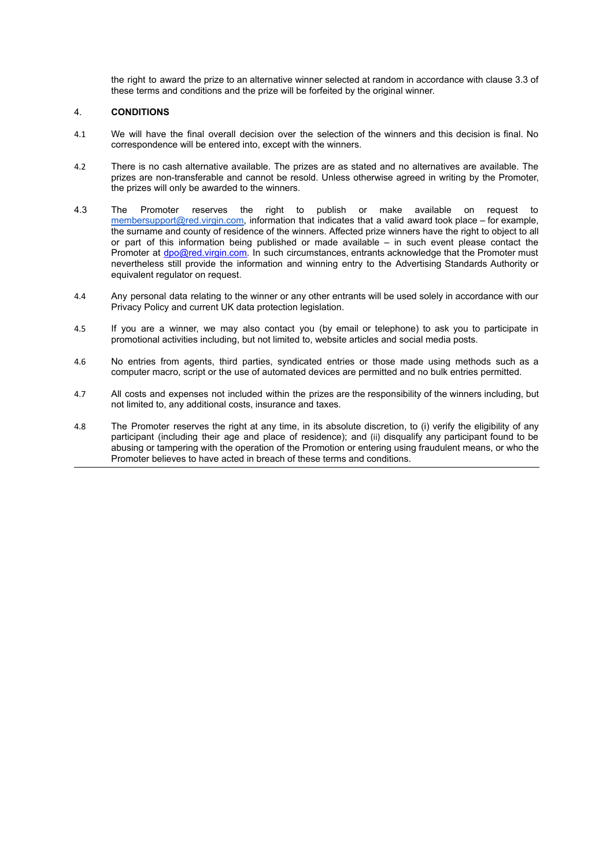the right to award the prize to an alternative winner selected at random in accordance with clause 3.3 of these terms and conditions and the prize will be forfeited by the original winner.

## 4. **CONDITIONS**

- 4.1 We will have the final overall decision over the selection of the winners and this decision is final. No correspondence will be entered into, except with the winners.
- 4.2 There is no cash alternative available. The prizes are as stated and no alternatives are available. The prizes are non-transferable and cannot be resold. Unless otherwise agreed in writing by the Promoter, the prizes will only be awarded to the winners.
- 4.3 The Promoter reserves the right to publish or make available on request to [membersupport@red.virgin.com,](mailto:membersupport@red.virgin.com) information that indicates that a valid award took place – for example, the surname and county of residence of the winners. Affected prize winners have the right to object to all or part of this information being published or made available – in such event please contact the Promoter at [dpo@red.virgin.com.](mailto:dpo@red.virgin.com) In such circumstances, entrants acknowledge that the Promoter must nevertheless still provide the information and winning entry to the Advertising Standards Authority or equivalent regulator on request.
- 4.4 Any personal data relating to the winner or any other entrants will be used solely in accordance with our Privacy Policy and current UK data protection legislation.
- 4.5 If you are a winner, we may also contact you (by email or telephone) to ask you to participate in promotional activities including, but not limited to, website articles and social media posts.
- 4.6 No entries from agents, third parties, syndicated entries or those made using methods such as a computer macro, script or the use of automated devices are permitted and no bulk entries permitted.
- 4.7 All costs and expenses not included within the prizes are the responsibility of the winners including, but not limited to, any additional costs, insurance and taxes.
- 4.8 The Promoter reserves the right at any time, in its absolute discretion, to (i) verify the eligibility of any participant (including their age and place of residence); and (ii) disqualify any participant found to be abusing or tampering with the operation of the Promotion or entering using fraudulent means, or who the Promoter believes to have acted in breach of these terms and conditions.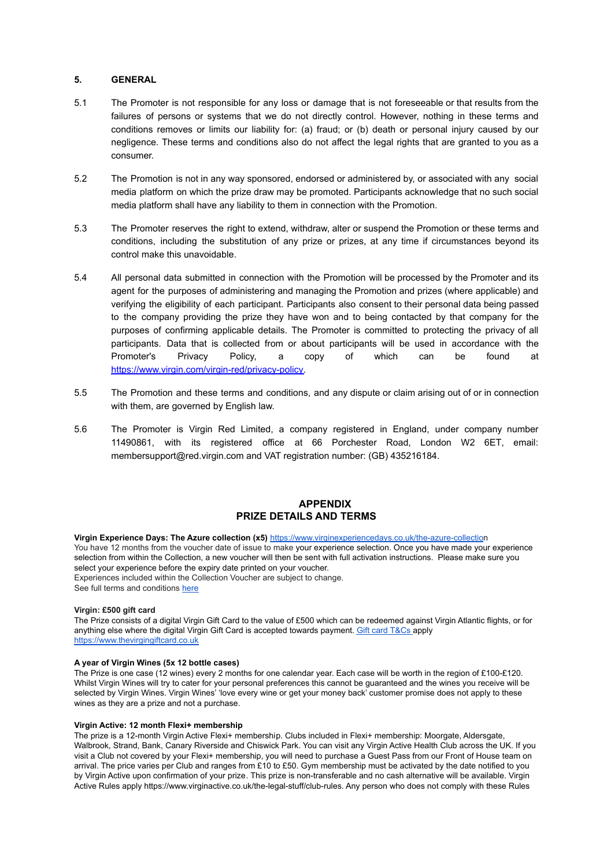## **5. GENERAL**

- 5.1 The Promoter is not responsible for any loss or damage that is not foreseeable or that results from the failures of persons or systems that we do not directly control. However, nothing in these terms and conditions removes or limits our liability for: (a) fraud; or (b) death or personal injury caused by our negligence. These terms and conditions also do not affect the legal rights that are granted to you as a consumer.
- 5.2 The Promotion is not in any way sponsored, endorsed or administered by, or associated with any social media platform on which the prize draw may be promoted. Participants acknowledge that no such social media platform shall have any liability to them in connection with the Promotion.
- 5.3 The Promoter reserves the right to extend, withdraw, alter or suspend the Promotion or these terms and conditions, including the substitution of any prize or prizes, at any time if circumstances beyond its control make this unavoidable.
- 5.4 All personal data submitted in connection with the Promotion will be processed by the Promoter and its agent for the purposes of administering and managing the Promotion and prizes (where applicable) and verifying the eligibility of each participant. Participants also consent to their personal data being passed to the company providing the prize they have won and to being contacted by that company for the purposes of confirming applicable details. The Promoter is committed to protecting the privacy of all participants. Data that is collected from or about participants will be used in accordance with the Promoter's Privacy Policy, a copy of which can be found at [https://www.virgin.com/virgin-red/privacy-policy.](https://www.virgin.com/virgin-red/privacy-policy)
- 5.5 The Promotion and these terms and conditions, and any dispute or claim arising out of or in connection with them, are governed by English law.
- 5.6 The Promoter is Virgin Red Limited, a company registered in England, under company number 11490861, with its registered office at 66 Porchester Road, London W2 6ET, email: membersupport@red.virgin.com and VAT registration number: (GB) 435216184.

# **APPENDIX PRIZE DETAILS AND TERMS**

**Virgin Experience Days: The Azure collection (x5)** [https://www.virginexperiencedays.co.uk/the-azure-collectio](https://www.virginexperiencedays.co.uk/the-azure-collection)n You have 12 months from the voucher date of issue to make your experience selection. Once you have made your experience selection from within the Collection, a new voucher will then be sent with full activation instructions. Please make sure you select your experience before the expiry date printed on your voucher. Experiences included within the Collection Voucher are subject to change. See full terms and conditions [here](https://www.virginexperiencedays.co.uk/terms-and-conditions)

#### **Virgin: £500 gift card**

The Prize consists of a digital Virgin Gift Card to the value of £500 which can be redeemed against Virgin Atlantic flights, or for anything else where the digital Virgin Gift Card is accepted towards payment. Gift card [T&Cs](https://www.thevirgingiftcard.co.uk/terms-and-conditions/) apply <https://www.thevirgingiftcard.co.uk>

#### **A year of Virgin Wines (5x 12 bottle cases)**

The Prize is one case (12 wines) every 2 months for one calendar year. Each case will be worth in the region of £100-£120. Whilst Virgin Wines will try to cater for your personal preferences this cannot be guaranteed and the wines you receive will be selected by Virgin Wines. Virgin Wines' 'love every wine or get your money back' customer promise does not apply to these wines as they are a prize and not a purchase.

#### **Virgin Active: 12 month Flexi+ membership**

The prize is a 12-month Virgin Active Flexi+ membership. Clubs included in Flexi+ membership: Moorgate, Aldersgate, Walbrook, Strand, Bank, Canary Riverside and Chiswick Park. You can visit any Virgin Active Health Club across the UK. If you visit a Club not covered by your Flexi+ membership, you will need to purchase a Guest Pass from our Front of House team on arrival. The price varies per Club and ranges from £10 to £50. Gym membership must be activated by the date notified to you by Virgin Active upon confirmation of your prize. This prize is non-transferable and no cash alternative will be available. Virgin Active Rules apply https://www.virginactive.co.uk/the-legal-stuff/club-rules. Any person who does not comply with these Rules